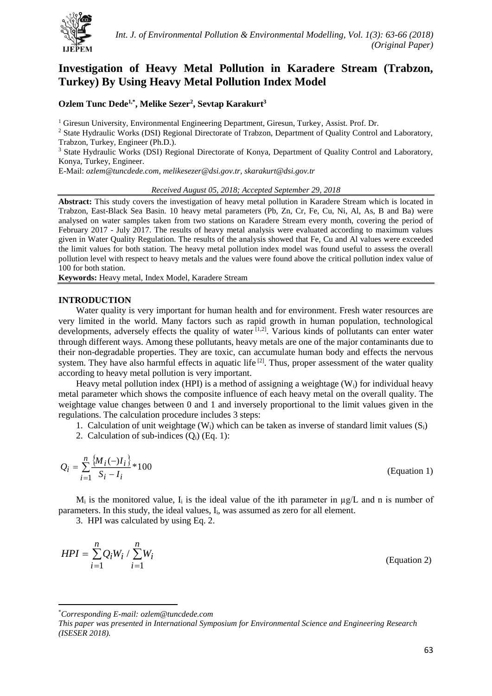

# **Investigation of Heavy Metal Pollution in Karadere Stream (Trabzon, Turkey) By Using Heavy Metal Pollution Index Model**

# **Ozlem Tunc Dede1,\* , Melike Sezer<sup>2</sup> , Sevtap Karakurt<sup>3</sup>**

 $1$  Giresun University, Environmental Engineering Department, Giresun, Turkey, Assist. Prof. Dr.

<sup>2</sup> State Hydraulic Works (DSI) Regional Directorate of Trabzon, Department of Quality Control and Laboratory, Trabzon, Turkey, Engineer (Ph.D.).

<sup>3</sup> State Hydraulic Works (DSI) Regional Directorate of Konya, Department of Quality Control and Laboratory, Konya, Turkey, Engineer.

E-Mail: *ozlem@tuncdede.com, melikesezer@dsi.gov.tr, skarakurt@dsi.gov.tr*

### *Received August 05, 2018; Accepted September 29, 2018*

**Abstract:** This study covers the investigation of heavy metal pollution in Karadere Stream which is located in Trabzon, East-Black Sea Basin. 10 heavy metal parameters (Pb, Zn, Cr, Fe, Cu, Ni, Al, As, B and Ba) were analysed on water samples taken from two stations on Karadere Stream every month, covering the period of February 2017 - July 2017. The results of heavy metal analysis were evaluated according to maximum values given in Water Quality Regulation. The results of the analysis showed that Fe, Cu and Al values were exceeded the limit values for both station. The heavy metal pollution index model was found useful to assess the overall pollution level with respect to heavy metals and the values were found above the critical pollution index value of 100 for both station.

**Keywords:** Heavy metal, Index Model, Karadere Stream

### **INTRODUCTION**

Water quality is very important for human health and for environment. Fresh water resources are very limited in the world. Many factors such as rapid growth in human population, technological developments, adversely effects the quality of water [1,2]. Various kinds of pollutants can enter water through different ways. Among these pollutants, heavy metals are one of the major contaminants due to their non-degradable properties. They are toxic, can accumulate human body and effects the nervous system. They have also harmful effects in aquatic life<sup>[2]</sup>. Thus, proper assessment of the water quality according to heavy metal pollution is very important.

Heavy metal pollution index (HPI) is a method of assigning a weightage  $(W_i)$  for individual heavy metal parameter which shows the composite influence of each heavy metal on the overall quality. The weightage value changes between 0 and 1 and inversely proportional to the limit values given in the regulations. The calculation procedure includes 3 steps:

1. Calculation of unit weightage  $(W_i)$  which can be taken as inverse of standard limit values  $(S_i)$ 

2. Calculation of sub-indices  $(Q<sub>i</sub>)$  (Eq. 1):

$$
Q_i = \sum_{i=1}^{n} \frac{\{M_i(-)I_i\}}{S_i - I_i} * 100
$$

 $M_i$  is the monitored value,  $I_i$  is the ideal value of the ith parameter in  $\mu$ g/L and n is number of parameters. In this study, the ideal values, Ii, was assumed as zero for all element.

3. HPI was calculated by using Eq. 2.

$$
HPI = \sum_{i=1}^{n} Q_i W_i / \sum_{i=1}^{n} W_i
$$

**.** 

(Equation 2)

(Equation 1)

*This paper was presented in International Symposium for Environmental Science and Engineering Research (ISESER 2018).*

<sup>\*</sup>*Corresponding E-mail: ozlem@tuncdede.com*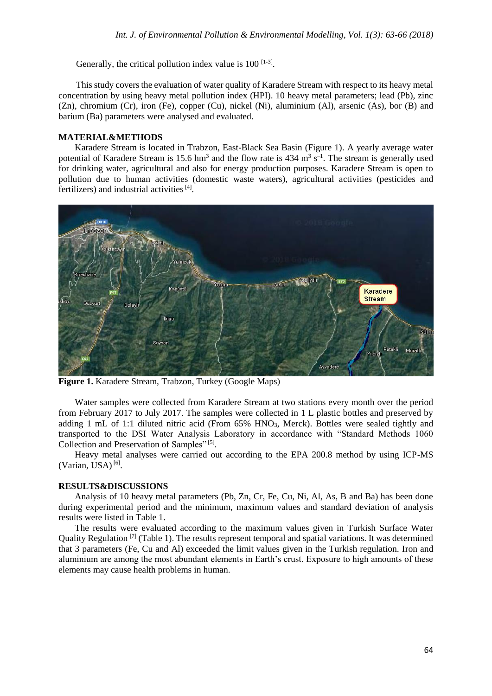Generally, the critical pollution index value is  $100$  [1-3].

This study covers the evaluation of water quality of Karadere Stream with respect to its heavy metal concentration by using heavy metal pollution index (HPI). 10 heavy metal parameters; lead (Pb), zinc (Zn), chromium (Cr), iron (Fe), copper (Cu), nickel (Ni), aluminium (Al), arsenic (As), bor (B) and barium (Ba) parameters were analysed and evaluated.

## **MATERIAL&METHODS**

Karadere Stream is located in Trabzon, East-Black Sea Basin (Figure 1). A yearly average water potential of Karadere Stream is 15.6 hm<sup>3</sup> and the flow rate is  $434 \text{ m}^3 \text{ s}^{-1}$ . The stream is generally used for drinking water, agricultural and also for energy production purposes. Karadere Stream is open to pollution due to human activities (domestic waste waters), agricultural activities (pesticides and fertilizers) and industrial activities<sup>[4]</sup>.



**Figure 1.** Karadere Stream, Trabzon, Turkey (Google Maps)

Water samples were collected from Karadere Stream at two stations every month over the period from February 2017 to July 2017. The samples were collected in 1 L plastic bottles and preserved by adding 1 mL of 1:1 diluted nitric acid (From 65% HNO<sub>3</sub>, Merck). Bottles were sealed tightly and transported to the DSI Water Analysis Laboratory in accordance with "Standard Methods 1060 Collection and Preservation of Samples"<sup>[5]</sup>.

Heavy metal analyses were carried out according to the EPA 200.8 method by using ICP-MS  $(Varian, USA)$ <sup>[6]</sup>.

# **RESULTS&DISCUSSIONS**

Analysis of 10 heavy metal parameters (Pb, Zn, Cr, Fe, Cu, Ni, Al, As, B and Ba) has been done during experimental period and the minimum, maximum values and standard deviation of analysis results were listed in Table 1.

The results were evaluated according to the maximum values given in Turkish Surface Water Quality Regulation [7] (Table 1). The results represent temporal and spatial variations. It was determined that 3 parameters (Fe, Cu and Al) exceeded the limit values given in the Turkish regulation. Iron and aluminium are among the most abundant elements in Earth's crust. Exposure to high amounts of these elements may cause health problems in human.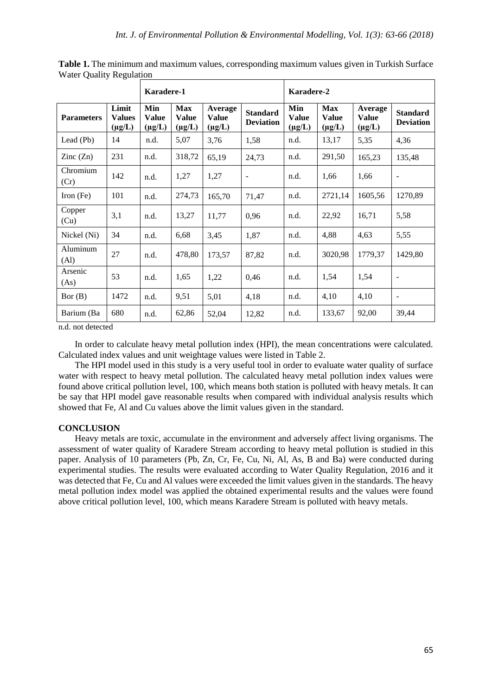|                          |                                       | Karadere-1                         |                                           |                                        |                                     | Karadere-2                         |                                           |                                        |                                     |
|--------------------------|---------------------------------------|------------------------------------|-------------------------------------------|----------------------------------------|-------------------------------------|------------------------------------|-------------------------------------------|----------------------------------------|-------------------------------------|
| <b>Parameters</b>        | Limit<br><b>Values</b><br>$(\mu g/L)$ | Min<br><b>Value</b><br>$(\mu g/L)$ | <b>Max</b><br><b>Value</b><br>$(\mu g/L)$ | Average<br><b>Value</b><br>$(\mu g/L)$ | <b>Standard</b><br><b>Deviation</b> | Min<br><b>Value</b><br>$(\mu g/L)$ | <b>Max</b><br><b>Value</b><br>$(\mu g/L)$ | Average<br><b>Value</b><br>$(\mu g/L)$ | <b>Standard</b><br><b>Deviation</b> |
| Lead (Pb)                | 14                                    | n.d.                               | 5,07                                      | 3,76                                   | 1,58                                | n.d.                               | 13,17                                     | 5,35                                   | 4,36                                |
| $\text{Zinc}(\text{Zn})$ | 231                                   | n.d.                               | 318,72                                    | 65,19                                  | 24,73                               | n.d.                               | 291,50                                    | 165,23                                 | 135,48                              |
| Chromium<br>(Cr)         | 142                                   | n.d.                               | 1,27                                      | 1,27                                   |                                     | n.d.                               | 1,66                                      | 1,66                                   |                                     |
| Iron $(Fe)$              | 101                                   | n.d.                               | 274,73                                    | 165,70                                 | 71,47                               | n.d.                               | 2721,14                                   | 1605,56                                | 1270,89                             |
| Copper<br>(Cu)           | 3,1                                   | n.d.                               | 13,27                                     | 11,77                                  | 0,96                                | n.d.                               | 22,92                                     | 16,71                                  | 5,58                                |
| Nickel (Ni)              | 34                                    | n.d.                               | 6,68                                      | 3,45                                   | 1,87                                | n.d.                               | 4,88                                      | 4,63                                   | 5,55                                |
| Aluminum<br>(Al)         | 27                                    | n.d.                               | 478,80                                    | 173,57                                 | 87,82                               | n.d.                               | 3020,98                                   | 1779,37                                | 1429,80                             |
| Arsenic<br>(As)          | 53                                    | n.d.                               | 1,65                                      | 1,22                                   | 0,46                                | n.d.                               | 1,54                                      | 1,54                                   |                                     |
| Bor(B)                   | 1472                                  | n.d.                               | 9,51                                      | 5,01                                   | 4,18                                | n.d.                               | 4,10                                      | 4,10                                   | $\overline{\phantom{a}}$            |
| Barium (Ba               | 680                                   | n.d.                               | 62,86                                     | 52,04                                  | 12,82                               | n.d.                               | 133,67                                    | 92,00                                  | 39,44                               |

**Table 1.** The minimum and maximum values, corresponding maximum values given in Turkish Surface Water Quality Regulation

n.d. not detected

In order to calculate heavy metal pollution index (HPI), the mean concentrations were calculated. Calculated index values and unit weightage values were listed in Table 2.

The HPI model used in this study is a very useful tool in order to evaluate water quality of surface water with respect to heavy metal pollution. The calculated heavy metal pollution index values were found above critical pollution level, 100, which means both station is polluted with heavy metals. It can be say that HPI model gave reasonable results when compared with individual analysis results which showed that Fe, Al and Cu values above the limit values given in the standard.

# **CONCLUSION**

Heavy metals are toxic, accumulate in the environment and adversely affect living organisms. The assessment of water quality of Karadere Stream according to heavy metal pollution is studied in this paper. Analysis of 10 parameters (Pb, Zn, Cr, Fe, Cu, Ni, Al, As, B and Ba) were conducted during experimental studies. The results were evaluated according to Water Quality Regulation, 2016 and it was detected that Fe, Cu and Al values were exceeded the limit values given in the standards. The heavy metal pollution index model was applied the obtained experimental results and the values were found above critical pollution level, 100, which means Karadere Stream is polluted with heavy metals.